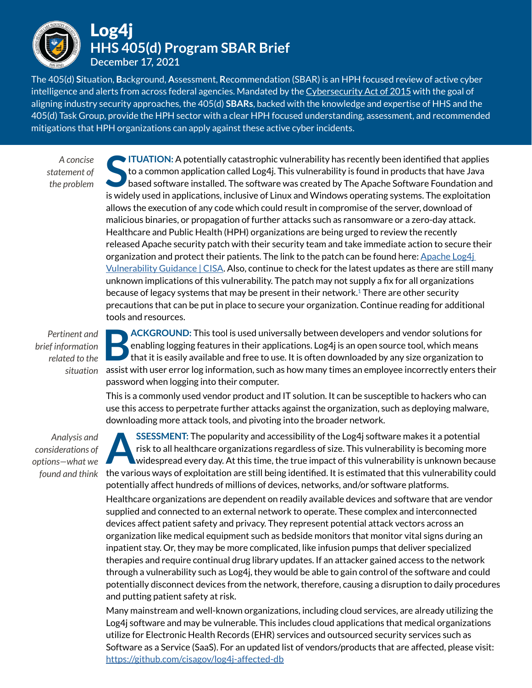

The 405(d) **S**ituation, **B**ackground, **A**ssessment, **R**ecommendation (SBAR) is an HPH focused review of active cyber intelligence and alerts from across federal agencies. Mandated by the [Cybersecurity Act of 2015](https://www.nist.gov/system/files/documents/2018/10/18/hhs_fact_sheet_-_csa_405d_cleared.pdf) with the goal of aligning industry security approaches, the 405(d) **SBARs**, backed with the knowledge and expertise of HHS and the 405(d) Task Group, provide the HPH sector with a clear HPH focused understanding, assessment, and recommended mitigations that HPH organizations can apply against these active cyber incidents.

*A concise statement of the problem*

**S ITUATION:** A potentially catastrophic vulnerability has recently been identified that applies to a common application called Log4j. This vulnerability is found in products that have Java based software installed. The software was created by The Apache Software Foundation and is widely used in applications, inclusive of Linux and Windows operating systems. The exploitation allows the execution of any code which could result in compromise of the server, download of malicious binaries, or propagation of further attacks such as ransomware or a zero-day attack. Healthcare and Public Health (HPH) organizations are being urged to review the recently released Apache security patch with their security team and take immediate action to secure their organization and protect their patients. The link to the patch can be found here:  $\Delta$ pache Log4i [Vulnerability Guidance | CISA](https://www.cisa.gov/uscert/apache-log4j-vulnerability-guidance). Also, continue to check for the latest updates as there are still many unknown implications of this vulnerability. The patch may not supply a fix for all organizations because of legacy systems that may be present in their network. $1$  There are other security precautions that can be put in place to secure your organization. Continue reading for additional tools and resources.

*Pertinent and brief information related to the* 

**BACKGROUND:** This tool is used universally between developers and vendor solutions for enabling logging features in their applications. Log4j is an open source tool, which means that it is easily available and free to use enabling logging features in their applications. Log4j is an open source tool, which means situation assist with user error log information, such as how many times an employee incorrectly enters their password when logging into their computer.

This is a commonly used vendor product and IT solution. It can be susceptible to hackers who can use this access to perpetrate further attacks against the organization, such as deploying malware, downloading more attack tools, and pivoting into the broader network.

*Analysis and considerations of options—what we found and think*

**ASSESSMENT:** The popularity and accessibility of the Log4j software makes it a potential risk to all healthcare organizations regardless of size. This vulnerability is becoming more widespread every day. At this time, the risk to all healthcare organizations regardless of size. This vulnerability is becoming more widespread every day. At this time, the true impact of this vulnerability is unknown because the various ways of exploitation are still being identified. It is estimated that this vulnerability could potentially affect hundreds of millions of devices, networks, and/or software platforms. Healthcare organizations are dependent on readily available devices and software that are vendor supplied and connected to an external network to operate. These complex and interconnected devices affect patient safety and privacy. They represent potential attack vectors across an organization like medical equipment such as bedside monitors that monitor vital signs during an inpatient stay. Or, they may be more complicated, like infusion pumps that deliver specialized therapies and require continual drug library updates. If an attacker gained access to the network through a vulnerability such as Log4j, they would be able to gain control of the software and could potentially disconnect devices from the network, therefore, causing a disruption to daily procedures and putting patient safety at risk.

Many mainstream and well-known organizations, including cloud services, are already utilizing the Log4j software and may be vulnerable. This includes cloud applications that medical organizations utilize for Electronic Health Records (EHR) services and outsourced security services such as Software as a Service (SaaS). For an updated list of vendors/products that are affected, please visit: <https://github.com/cisagov/log4j-affected-db>